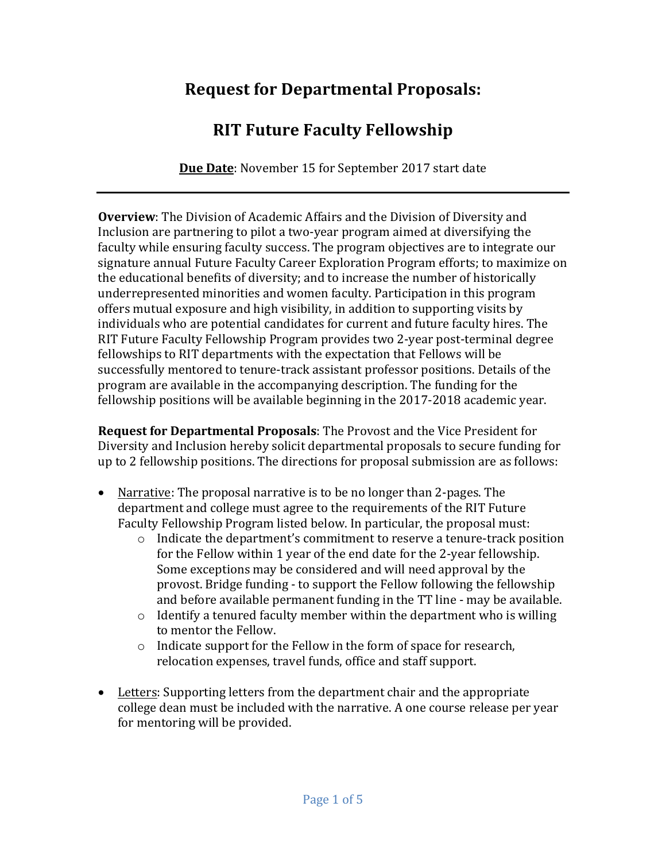## **Request for Departmental Proposals:**

# **RIT Future Faculty Fellowship**

**Due Date:** November 15 for September 2017 start date

**Overview**: The Division of Academic Affairs and the Division of Diversity and Inclusion are partnering to pilot a two-year program aimed at diversifying the faculty while ensuring faculty success. The program objectives are to integrate our signature annual Future Faculty Career Exploration Program efforts; to maximize on the educational benefits of diversity; and to increase the number of historically underrepresented minorities and women faculty. Participation in this program offers mutual exposure and high visibility, in addition to supporting visits by individuals who are potential candidates for current and future faculty hires. The RIT Future Faculty Fellowship Program provides two 2-year post-terminal degree fellowships to RIT departments with the expectation that Fellows will be successfully mentored to tenure-track assistant professor positions. Details of the program are available in the accompanying description. The funding for the fellowship positions will be available beginning in the 2017-2018 academic year.

**Request for Departmental Proposals:** The Provost and the Vice President for Diversity and Inclusion hereby solicit departmental proposals to secure funding for up to 2 fellowship positions. The directions for proposal submission are as follows:

- Narrative: The proposal narrative is to be no longer than 2-pages. The department and college must agree to the requirements of the RIT Future Faculty Fellowship Program listed below. In particular, the proposal must:
	- $\circ$  Indicate the department's commitment to reserve a tenure-track position for the Fellow within 1 year of the end date for the 2-year fellowship. Some exceptions may be considered and will need approval by the provost. Bridge funding - to support the Fellow following the fellowship and before available permanent funding in the TT line - may be available.
	- $\circ$  Identify a tenured faculty member within the department who is willing to mentor the Fellow.
	- $\circ$  Indicate support for the Fellow in the form of space for research, relocation expenses, travel funds, office and staff support.
- Letters: Supporting letters from the department chair and the appropriate college dean must be included with the narrative. A one course release per year for mentoring will be provided.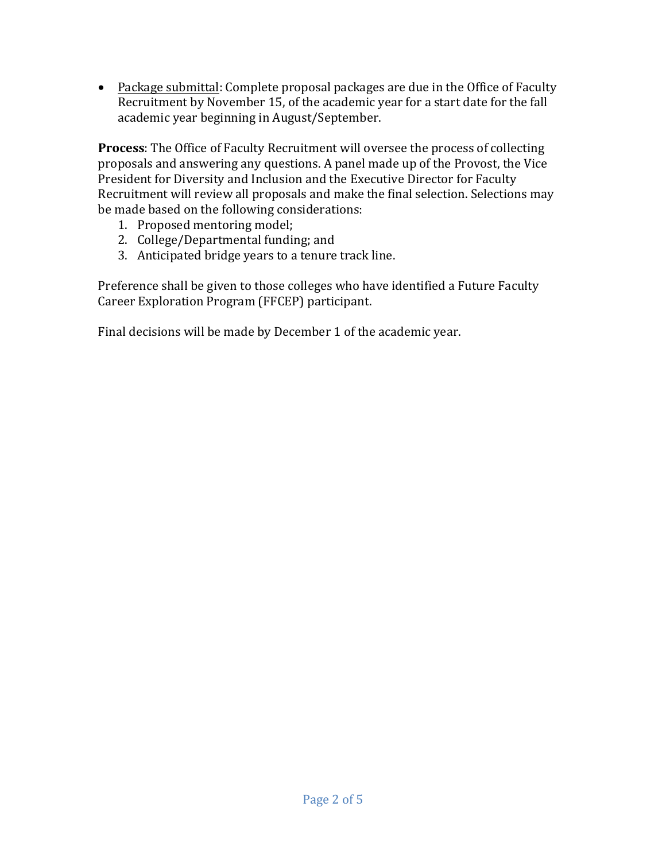• Package submittal: Complete proposal packages are due in the Office of Faculty Recruitment by November 15, of the academic year for a start date for the fall academic year beginning in August/September.

**Process**: The Office of Faculty Recruitment will oversee the process of collecting proposals and answering any questions. A panel made up of the Provost, the Vice President for Diversity and Inclusion and the Executive Director for Faculty Recruitment will review all proposals and make the final selection. Selections may be made based on the following considerations:

- 1. Proposed mentoring model;
- 2. College/Departmental funding; and
- 3. Anticipated bridge years to a tenure track line.

Preference shall be given to those colleges who have identified a Future Faculty Career Exploration Program (FFCEP) participant.

Final decisions will be made by December 1 of the academic year.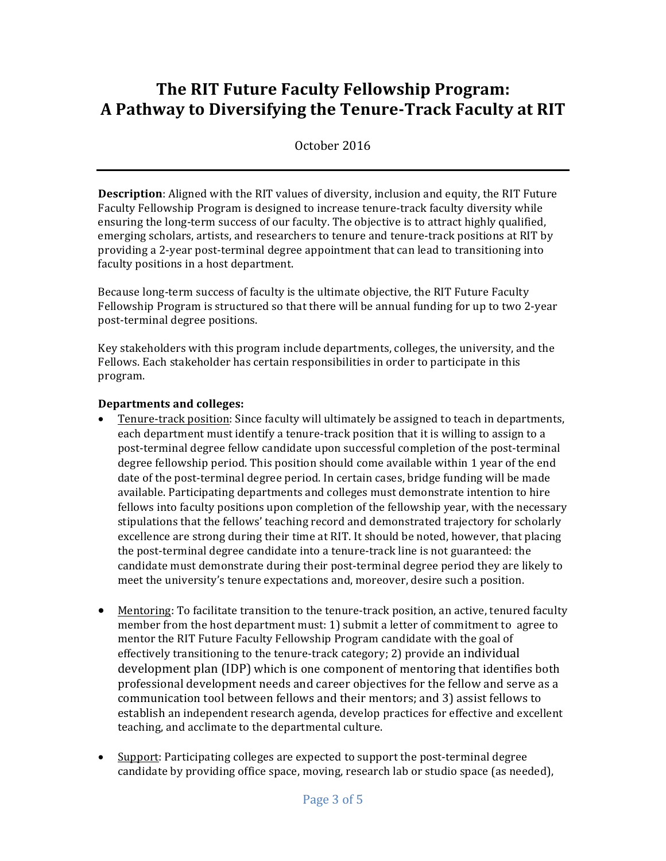### **The RIT Future Faculty Fellowship Program: A Pathway to Diversifying the Tenure-Track Faculty at RIT**

October 2016

**Description**: Aligned with the RIT values of diversity, inclusion and equity, the RIT Future Faculty Fellowship Program is designed to increase tenure-track faculty diversity while ensuring the long-term success of our faculty. The objective is to attract highly qualified, emerging scholars, artists, and researchers to tenure and tenure-track positions at RIT by providing a 2-year post-terminal degree appointment that can lead to transitioning into faculty positions in a host department.

Because long-term success of faculty is the ultimate objective, the RIT Future Faculty Fellowship Program is structured so that there will be annual funding for up to two 2-year post-terminal degree positions.

Key stakeholders with this program include departments, colleges, the university, and the Fellows. Each stakeholder has certain responsibilities in order to participate in this program. 

#### **Departments** and colleges:

- Tenure-track position: Since faculty will ultimately be assigned to teach in departments, each department must identify a tenure-track position that it is willing to assign to a post-terminal degree fellow candidate upon successful completion of the post-terminal degree fellowship period. This position should come available within 1 year of the end date of the post-terminal degree period. In certain cases, bridge funding will be made available. Participating departments and colleges must demonstrate intention to hire fellows into faculty positions upon completion of the fellowship year, with the necessary stipulations that the fellows' teaching record and demonstrated trajectory for scholarly excellence are strong during their time at RIT. It should be noted, however, that placing the post-terminal degree candidate into a tenure-track line is not guaranteed: the candidate must demonstrate during their post-terminal degree period they are likely to meet the university's tenure expectations and, moreover, desire such a position.
- Mentoring: To facilitate transition to the tenure-track position, an active, tenured faculty member from the host department must: 1) submit a letter of commitment to agree to mentor the RIT Future Faculty Fellowship Program candidate with the goal of effectively transitioning to the tenure-track category; 2) provide an individual development plan (IDP) which is one component of mentoring that identifies both professional development needs and career objectives for the fellow and serve as a communication tool between fellows and their mentors; and 3) assist fellows to establish an independent research agenda, develop practices for effective and excellent teaching, and acclimate to the departmental culture.
- Support: Participating colleges are expected to support the post-terminal degree candidate by providing office space, moving, research lab or studio space (as needed),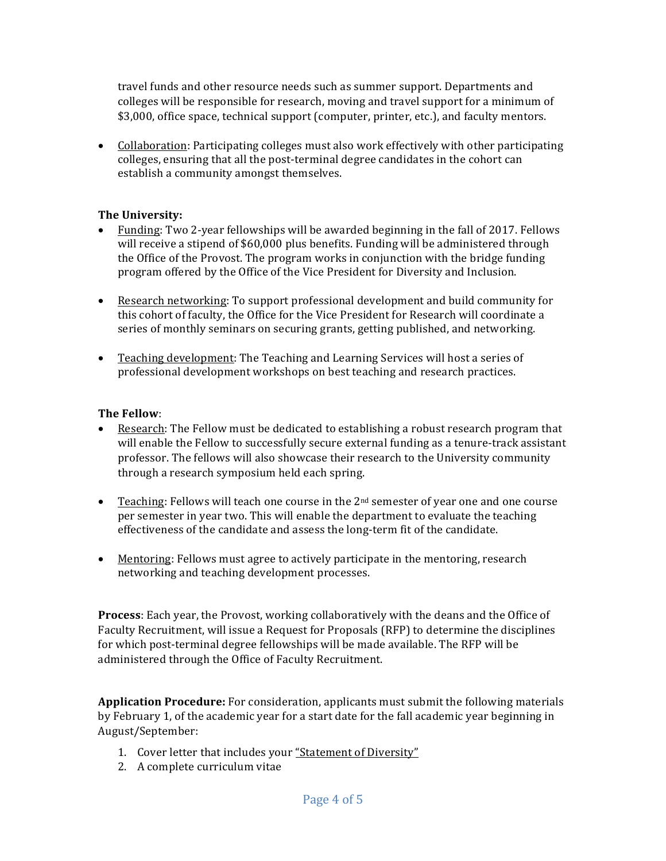travel funds and other resource needs such as summer support. Departments and colleges will be responsible for research, moving and travel support for a minimum of \$3,000, office space, technical support (computer, printer, etc.), and faculty mentors.

• Collaboration: Participating colleges must also work effectively with other participating colleges, ensuring that all the post-terminal degree candidates in the cohort can establish a community amongst themselves.

#### **The University:**

- Funding: Two 2-year fellowships will be awarded beginning in the fall of 2017. Fellows will receive a stipend of \$60,000 plus benefits. Funding will be administered through the Office of the Provost. The program works in conjunction with the bridge funding program offered by the Office of the Vice President for Diversity and Inclusion.
- Research networking: To support professional development and build community for this cohort of faculty, the Office for the Vice President for Research will coordinate a series of monthly seminars on securing grants, getting published, and networking.
- Teaching development: The Teaching and Learning Services will host a series of professional development workshops on best teaching and research practices.

#### **The Fellow**:

- Research: The Fellow must be dedicated to establishing a robust research program that will enable the Fellow to successfully secure external funding as a tenure-track assistant professor. The fellows will also showcase their research to the University community through a research symposium held each spring.
- Teaching: Fellows will teach one course in the  $2^{nd}$  semester of year one and one course per semester in year two. This will enable the department to evaluate the teaching effectiveness of the candidate and assess the long-term fit of the candidate.
- Mentoring: Fellows must agree to actively participate in the mentoring, research networking and teaching development processes.

**Process**: Each year, the Provost, working collaboratively with the deans and the Office of Faculty Recruitment, will issue a Request for Proposals (RFP) to determine the disciplines for which post-terminal degree fellowships will be made available. The RFP will be administered through the Office of Faculty Recruitment.

**Application Procedure:** For consideration, applicants must submit the following materials by February 1, of the academic year for a start date for the fall academic year beginning in August/September:

- 1. Cover letter that includes your "Statement of Diversity"
- 2. A complete curriculum vitae